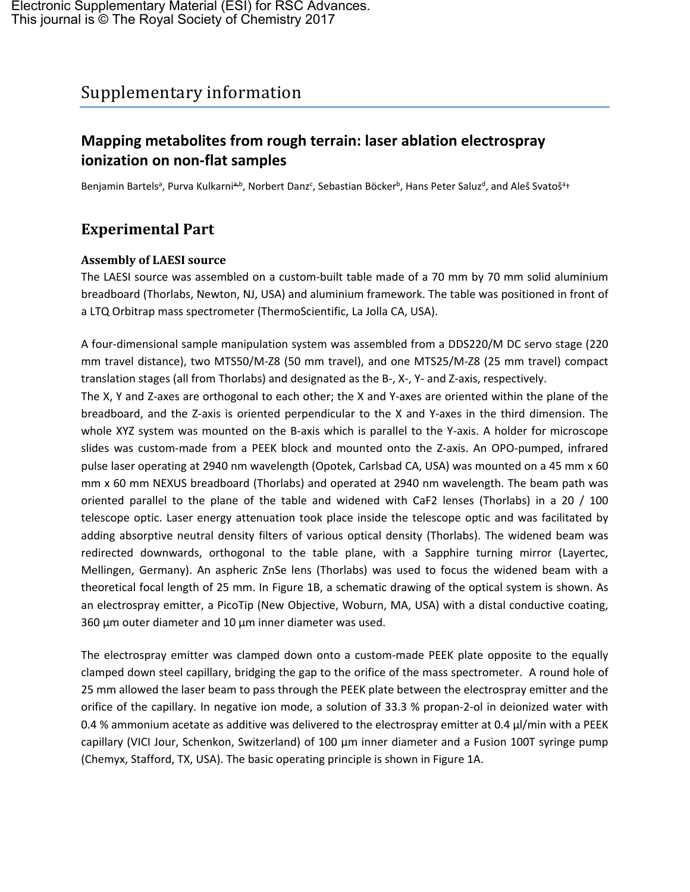# Supplementary information

### **Mapping metabolites from rough terrain: laser ablation electrospray ionization on non-flat samples**

Benjamin Bartelsª, Purva Kulkarniª<sup>,b</sup>, Norbert Danz<sup>c</sup>, Sebastian Böcker<sup>b</sup>, Hans Peter Saluz<sup>d</sup>, and Aleš Svatošª+

## **Experimental Part**

#### **Assembly of LAESI source**

The LAESI source was assembled on a custom-built table made of a 70 mm by 70 mm solid aluminium breadboard (Thorlabs, Newton, NJ, USA) and aluminium framework. The table was positioned in front of a LTQ Orbitrap mass spectrometer (ThermoScientific, La Jolla CA, USA).

A four-dimensional sample manipulation system was assembled from a DDS220/M DC servo stage (220 mm travel distance), two MTS50/M-Z8 (50 mm travel), and one MTS25/M-Z8 (25 mm travel) compact translation stages (all from Thorlabs) and designated as the B-, X-, Y- and Z-axis, respectively.

The X, Y and Z-axes are orthogonal to each other; the X and Y-axes are oriented within the plane of the breadboard, and the Z-axis is oriented perpendicular to the X and Y-axes in the third dimension. The whole XYZ system was mounted on the B-axis which is parallel to the Y-axis. A holder for microscope slides was custom-made from a PEEK block and mounted onto the Z-axis. An OPO-pumped, infrared pulse laser operating at 2940 nm wavelength (Opotek, Carlsbad CA, USA) was mounted on a 45 mm x 60 mm x 60 mm NEXUS breadboard (Thorlabs) and operated at 2940 nm wavelength. The beam path was oriented parallel to the plane of the table and widened with CaF2 lenses (Thorlabs) in a 20 / 100 telescope optic. Laser energy attenuation took place inside the telescope optic and was facilitated by adding absorptive neutral density filters of various optical density (Thorlabs). The widened beam was redirected downwards, orthogonal to the table plane, with a Sapphire turning mirror (Layertec, Mellingen, Germany). An aspheric ZnSe lens (Thorlabs) was used to focus the widened beam with a theoretical focal length of 25 mm. In Figure 1B, a schematic drawing of the optical system is shown. As an electrospray emitter, a PicoTip (New Objective, Woburn, MA, USA) with a distal conductive coating, 360  $\mu$ m outer diameter and 10  $\mu$ m inner diameter was used.

The electrospray emitter was clamped down onto a custom-made PEEK plate opposite to the equally clamped down steel capillary, bridging the gap to the orifice of the mass spectrometer. A round hole of 25 mm allowed the laser beam to pass through the PEEK plate between the electrospray emitter and the orifice of the capillary. In negative ion mode, a solution of 33.3 % propan-2-ol in deionized water with 0.4 % ammonium acetate as additive was delivered to the electrospray emitter at 0.4 µl/min with a PEEK capillary (VICI Jour, Schenkon, Switzerland) of 100  $\mu$ m inner diameter and a Fusion 100T syringe pump (Chemyx, Stafford, TX, USA). The basic operating principle is shown in Figure 1A.